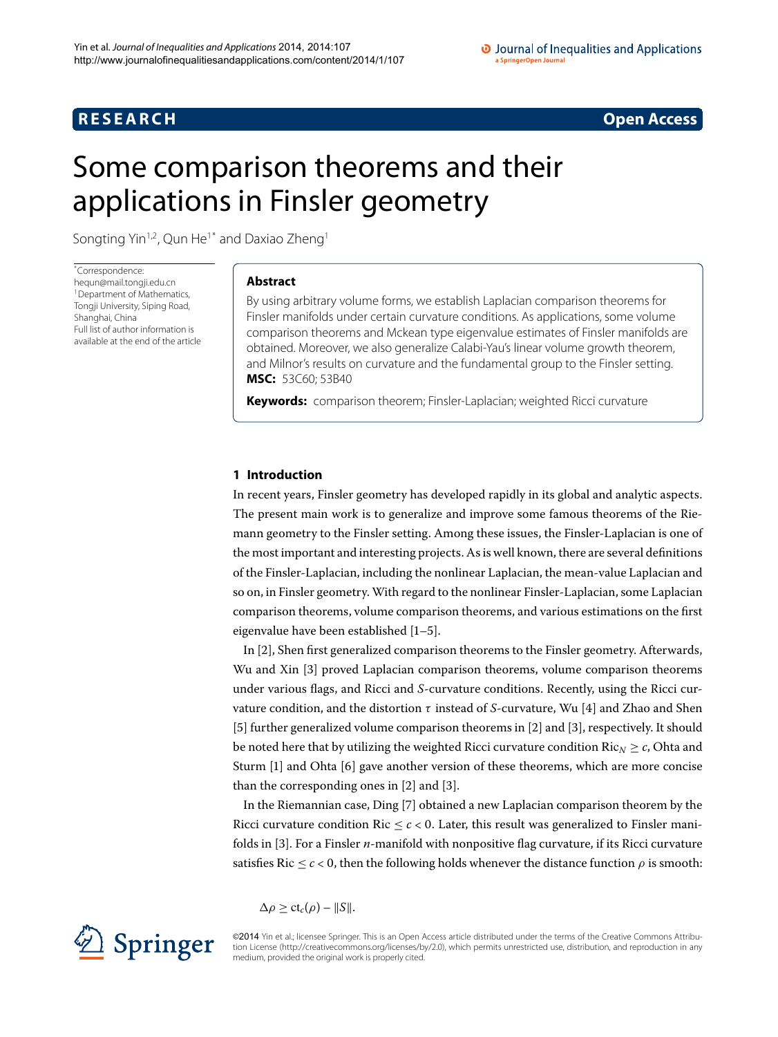# **R E S E A R C H Open Access**

# <span id="page-0-0"></span>Some comparison theorems and their applications in Finsler geometry

Songting Yin<sup>1,[2](#page-16-1)</sup>, Qun He<sup>[1](#page-16-0)[\\*](#page-0-0)</sup> and Daxiao Zheng<sup>1</sup>

\* Correspondence: [hequn@mail.tongji.edu.cn](mailto:hequn@mail.tongji.edu.cn) <sup>1</sup> Department of Mathematics, Tongji University, Siping Road, Shanghai, China Full list of author information is available at the end of the article

# **Abstract**

By using arbitrary volume forms, we establish Laplacian comparison theorems for Finsler manifolds under certain curvature conditions. As applications, some volume comparison theorems and Mckean type eigenvalue estimates of Finsler manifolds are obtained. Moreover, we also generalize Calabi-Yau's linear volume growth theorem, and Milnor's results on curvature and the fundamental group to the Finsler setting. **MSC:** 53C60; 53B40

**Keywords:** comparison theorem; Finsler-Laplacian; weighted Ricci curvature

# **1 Introduction**

In recent years, Finsler geometry has developed rapidly in its global and analytic aspects. The present main work is to generalize and improve some famous theorems of the Riemann geometry to the Finsler setting. Among these issues, the Finsler-Laplacian is one of the most important and interesting projects. As is well known, there are several definitions of the Finsler-Laplacian, including the nonlinear Laplacian, the mean-value Laplacian and so on, in Finsler geometry. With regard to the nonlinear Finsler-Laplacian, some Laplacian comparison theorems, volume comparison theorems, and various estimations on the first eigenvalue have been established  $[1-5]$  $[1-5]$ .

In [\[](#page-16-4)2], Shen first generalized comparison theorems to the Finsler geometry. Afterwards, Wu and Xin [\[](#page-16-5)3] proved Laplacian comparison theorems, volume comparison theorems under various flags, and Ricci and *S*-curvature conditions. Recently, using the Ricci curvature condition, and the distortion  $\tau$  instead of *S*-curvature, Wu [4] and Zhao and Shen  $[5]$  $[5]$  $[5]$  further generalized volume comparison theorems in  $[2]$  and  $[3]$ , respectively. It should be noted here that by utilizing the weighted Ricci curvature condition  $Ric_N \geq c$ , Ohta and Sturm  $[1]$  $[1]$  and Ohta  $[6]$  $[6]$  gave another version of these theorems, which are more concise than the corresponding ones in  $[2]$  $[2]$  and  $[3]$ .

In the Riemannian case, Ding [7[\]](#page-16-8) obtained a new Laplacian comparison theorem by the Ricci curvature condition Ric  $\leq c < 0$ . Later, this result was generalized to Finsler manifolds in [[\]](#page-16-5). For a Finsler *n*-manifold with nonpositive flag curvature, if its Ricci curvature satisfies Ric  $\leq c < 0$ , then the following holds whenever the distance function  $\rho$  is smooth:

$$
\Delta \rho \ge ct_c(\rho) - ||S||.
$$



©2014 Yin et al.; licensee Springer. This is an Open Access article distributed under the terms of the Creative Commons Attribution License ([http://creativecommons.org/licenses/by/2.0\)](http://creativecommons.org/licenses/by/2.0), which permits unrestricted use, distribution, and reproduction in any medium, provided the original work is properly cited.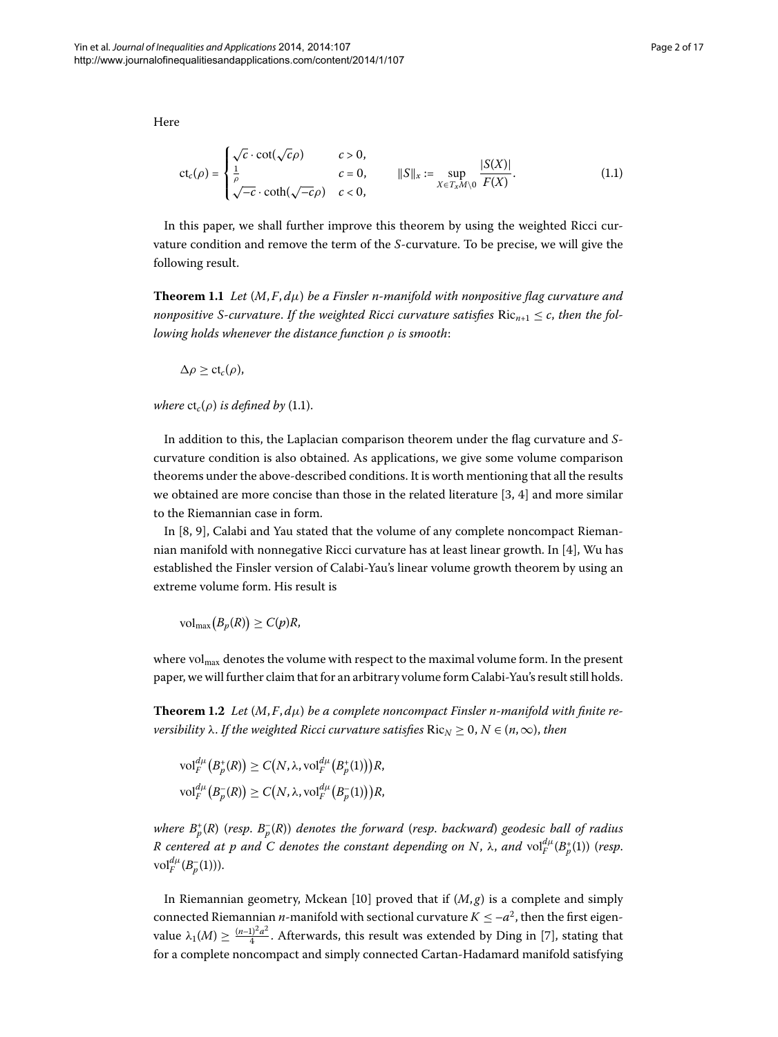Here

<span id="page-1-0"></span>
$$
\operatorname{ct}_c(\rho) = \begin{cases} \sqrt{c} \cdot \cot(\sqrt{c}\rho) & c > 0, \\ \frac{1}{\rho} & c = 0, \\ \sqrt{-c} \cdot \coth(\sqrt{-c}\rho) & c < 0, \end{cases} \qquad \|S\|_x := \sup_{X \in \mathcal{T}_x M \setminus 0} \frac{|S(X)|}{F(X)}.\tag{1.1}
$$

In this paper, we shall further improve this theorem by using the weighted Ricci curvature condition and remove the term of the *S*-curvature. To be precise, we will give the following result.

**Theorem 1.1** Let  $(M, F, d\mu)$  be a Finsler n-manifold with nonpositive flag curvature and *nonpositive S-curvature. If the weighted Ricci curvature satisfies*  $Ric_{n+1} \leq c$ *, then the following holds whenever the distance function ρ is smooth*:

 $\Delta \rho > c t_c(\rho)$ ,

*where*  $ct_c(\rho)$  *is defined by* (1[.](#page-1-0)1).

In addition to this, the Laplacian comparison theorem under the flag curvature and *S*curvature condition is also obtained. As applications, we give some volume comparison theorems under the above-described conditions. It is worth mentioning that all the results we obtained are more concise than those in the related literature  $[3, 4]$  $[3, 4]$  $[3, 4]$  $[3, 4]$  and more similar to the Riemannian case in form.

In  $[8, 9]$  $[8, 9]$ , Calabi and Yau stated that the volume of any complete noncompact Riemannian manifold with nonnegative Ricci curvature has at least linear growth. In  $[4]$  $[4]$ , Wu has established the Finsler version of Calabi-Yau's linear volume growth theorem by using an extreme volume form. His result is

 $\text{vol}_{\text{max}}(B_p(R)) \ge C(p)R$ 

where vol<sub>max</sub> denotes the volume with respect to the maximal volume form. In the present paper, we will further claim that for an arbitrary volume form Calabi-Yau's result still holds.

**Theorem 1.2** Let  $(M, F, d\mu)$  be a complete noncompact Finsler n-manifold with finite re*versibility*  $\lambda$ . *If the weighted Ricci curvature satisfies*  $Ric_N \geq 0, N \in (n, \infty)$ , *then* 

$$
\mathrm{vol}^{d\mu}_F(B_p^+(R)) \ge C(N, \lambda, \mathrm{vol}^{d\mu}_F(B_p^+(1)))R,
$$
  

$$
\mathrm{vol}^{d\mu}_F(B_p^-(R)) \ge C(N, \lambda, \mathrm{vol}^{d\mu}_F(B_p^-(1)))R,
$$

*where B*<sup>+</sup> *<sup>p</sup>* (*R*) (*resp*. *B*– *<sup>p</sup>* (*R*)) *denotes the forward* (*resp*. *backward*) *geodesic ball of radius*  $R$  centered at  $p$  and  $C$  denotes the constant depending on  $N$ ,  $\lambda$ , and  $\mathrm{vol}_{F}^{d\mu}(B_{p}^{+}(1))$  (resp.  $vol_F^{d\mu}(B_p^{-}(1))$ ).

In Riemannian geometry, Mckean [10] proved that if  $(M, g)$  is a complete and simply connected Riemannian *n*-manifold with sectional curvature  $K \le -a^2$ , then the first eigenvalue  $\lambda_1(M) \geq \frac{(n-1)^2a^2}{4}$ . Afterwards, this result was extended by Ding in [\[](#page-16-8)7], stating that for a complete noncompact and simply connected Cartan-Hadamard manifold satisfying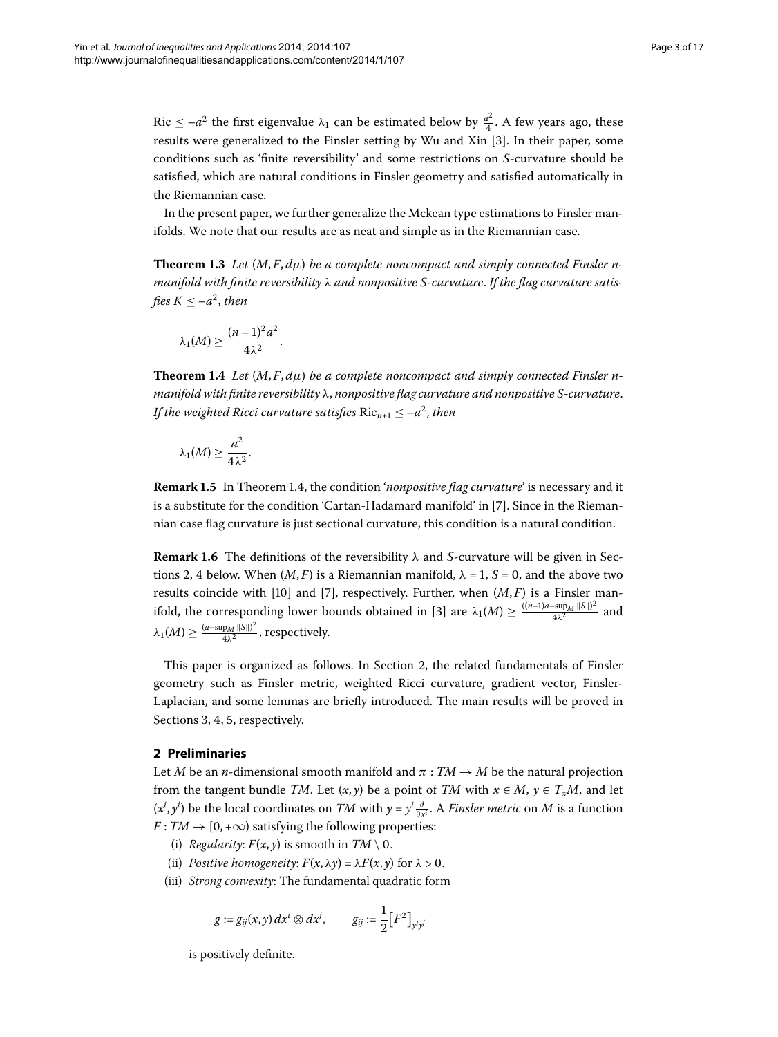Ric  $\leq -a^2$  the first eigenvalue  $\lambda_1$  can be estimated below by  $\frac{a^2}{4}$ . A few years ago, these results were generalized to the Finsler setting by Wu and Xin [[\]](#page-16-5). In their paper, some conditions such as 'finite reversibility' and some restrictions on *S*-curvature should be satisfied, which are natural conditions in Finsler geometry and satisfied automatically in the Riemannian case.

In the present paper, we further generalize the Mckean type estimations to Finsler manifolds. We note that our results are as neat and simple as in the Riemannian case.

<span id="page-2-0"></span>**Theorem 1.3** Let  $(M, F, d\mu)$  be a complete noncompact and simply connected Finsler n*manifold with finite reversibility λ and nonpositive S-curvature*. *If the flag curvature satisfies*  $K < -a^2$ *, then* 

$$
\lambda_1(M) \geq \frac{(n-1)^2 a^2}{4\lambda^2}.
$$

**Theorem 1.4** Let  $(M, F, d\mu)$  be a complete noncompact and simply connected Finsler n*manifold with finite reversibility λ*, *nonpositive flag curvature and nonpositive S-curvature*. *If the weighted Ricci curvature satisfies*  $Ric_{n+1} \leq -a^2$ , *then* 

$$
\lambda_1(M) \geq \frac{a^2}{4\lambda^2}.
$$

**Remark 1[.](#page-2-0)5** In Theorem 1.4, the condition '*nonpositive flag curvature*' is necessary and it is a substitute for the condition 'Cartan-Hadamard manifold' in [7[\]](#page-16-8). Since in the Riemannian case flag curvature is just sectional curvature, this condition is a natural condition.

**Remark 1.6** The definitions of the reversibility  $\lambda$  and *S*-curvature will be given in Sections 2, 4 below. When  $(M, F)$  is a Riemannian manifold,  $\lambda = 1$ ,  $S = 0$ , and the above two results coincide with [10[\]](#page-16-8) and [7], respectively. Further, when  $(M, F)$  is a Finsler man-ifold, the corresponding lower bounds obtained in [3[\]](#page-16-5) are  $\lambda_1(M) \geq \frac{((n-1)a-\sup_M ||S||)^2}{4\lambda^2}$  and  $\lambda_1(M)\geq \frac{(a-\sup_M\|S\|)^2}{4\lambda^2}$ , respectively.

<span id="page-2-1"></span>This paper is organized as follows. In Section 2[,](#page-2-1) the related fundamentals of Finsler geometry such as Finsler metric, weighted Ricci curvature, gradient vector, Finsler-Laplacian, and some lemmas are briefly introduced. The main results will be proved in Sections 3[,](#page-14-0) 4, 5, respectively.

# **2 Preliminaries**

Let *M* be an *n*-dimensional smooth manifold and  $\pi : TM \rightarrow M$  be the natural projection from the tangent bundle *TM*. Let  $(x, y)$  be a point of *TM* with  $x \in M$ ,  $y \in T_xM$ , and let  $(x^{i}, y^{i})$  be the local coordinates on *TM* with  $y = y^{i} \frac{\partial}{\partial x^{i}}$ . A *Finsler metric* on *M* is a function  $F: TM \rightarrow [0, +\infty)$  satisfying the following properties:

- (i) *Regularity:*  $F(x, y)$  is smooth in  $TM \setminus 0$ .
- (ii) *Positive homogeneity:*  $F(x, \lambda y) = \lambda F(x, y)$  for  $\lambda > 0$ .
- (iii) *Strong convexity*: The fundamental quadratic form

$$
g := g_{ij}(x, y) dx^i \otimes dx^j, \qquad g_{ij} := \frac{1}{2} [F^2]_{y^i y^j}
$$

is positively definite.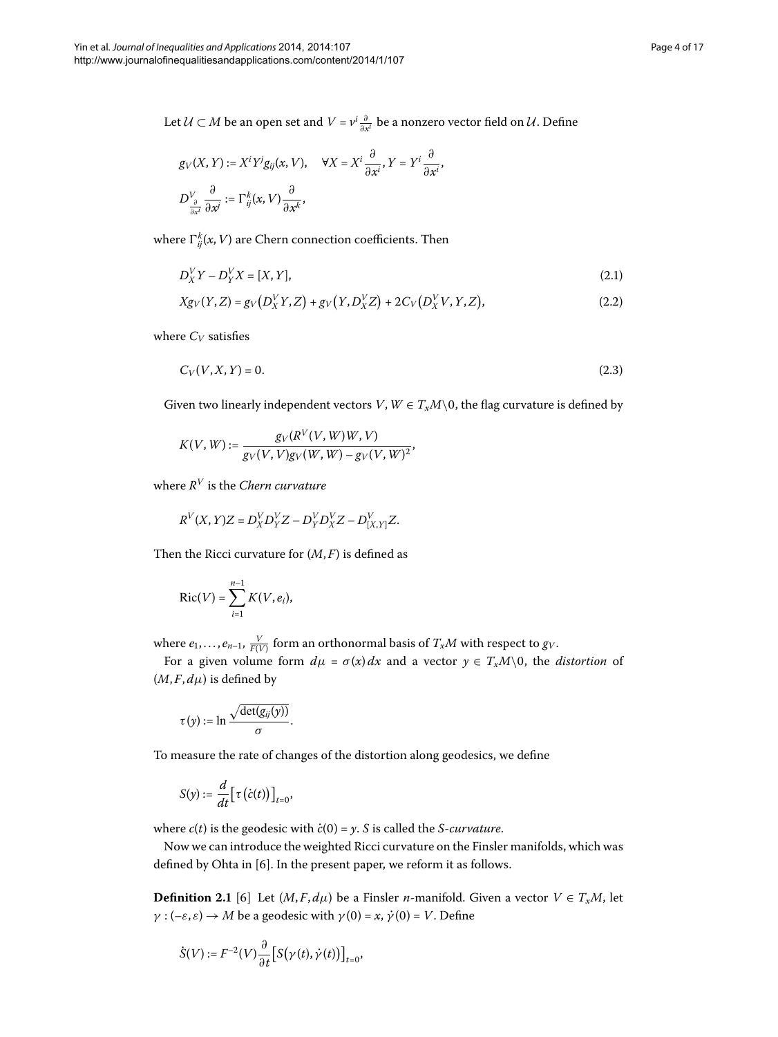Let  $\mathcal{U} \subset M$  be an open set and  $V = v^i \frac{\partial}{\partial x^i}$  be a nonzero vector field on  $\mathcal{U}$ . Define

<span id="page-3-0"></span>
$$
g_V(X, Y) := X^i Y^j g_{ij}(x, V), \quad \forall X = X^i \frac{\partial}{\partial x^i}, Y = Y^i \frac{\partial}{\partial x^i},
$$
  

$$
D^V_{\frac{\partial}{\partial x^i}} \frac{\partial}{\partial x^j} := \Gamma^k_{ij}(x, V) \frac{\partial}{\partial x^k},
$$

where  $\Gamma_{ij}^k(x,V)$  are Chern connection coefficients. Then

$$
D_X^V Y - D_Y^V X = [X, Y],
$$
\n(2.1)

$$
Xg_V(Y,Z) = g_V(D_X^V Y, Z) + g_V(Y, D_X^V Z) + 2C_V(D_X^V V, Y, Z),
$$
\n(2.2)

where  $C_V$  satisfies

$$
C_V(V, X, Y) = 0.\t\t(2.3)
$$

Given two linearly independent vectors  $V, W \in T_xM \setminus 0$ , the flag curvature is defined by

$$
K(V, W) := \frac{g_V(R^V(V, W)W, V)}{g_V(V, V)g_V(W, W) - g_V(V, W)^2},
$$

where *R<sup>V</sup>* is the *Chern curvature*

$$
R^V(X,Y)Z=D^V_XD^V_YZ-D^V_YD^V_XZ-D^V_{[X,Y]}Z.
$$

Then the Ricci curvature for  $(M, F)$  is defined as

$$
\operatorname{Ric}(V) = \sum_{i=1}^{n-1} K(V, e_i),
$$

where  $e_1, \ldots, e_{n-1}, \frac{V}{F(V)}$  form an orthonormal basis of  $T_xM$  with respect to  $g_V$ .

For a given volume form  $d\mu = \sigma(x) dx$  and a vector  $y \in T_xM\setminus 0$ , the *distortion* of  $(M, F, d\mu)$  is defined by

$$
\tau(y) := \ln \frac{\sqrt{\det(g_{ij}(y))}}{\sigma}.
$$

To measure the rate of changes of the distortion along geodesics, we define

<span id="page-3-1"></span>
$$
S(y) := \frac{d}{dt} \big[ \tau \big( \dot{c}(t) \big) \big]_{t=0},
$$

where  $c(t)$  is the geodesic with  $\dot{c}(0) = y$ . *S* is called the *S-curvature*.

Now we can introduce the weighted Ricci curvature on the Finsler manifolds, which was defined by Ohta in  $[6]$  $[6]$ . In the present paper, we reform it as follows.

**Definition 2.1** [6] Let  $(M, F, d\mu)$  be a Finsler *n*-manifold. Given a vector  $V \in T_xM$ , let *γ* :  $(-\varepsilon, \varepsilon) \rightarrow M$  be a geodesic with  $\gamma(0) = x$ ,  $\dot{\gamma}(0) = V$ . Define

$$
\dot{S}(V) := F^{-2}(V) \frac{\partial}{\partial t} \big[ S(\gamma(t), \dot{\gamma}(t)) \big]_{t=0},
$$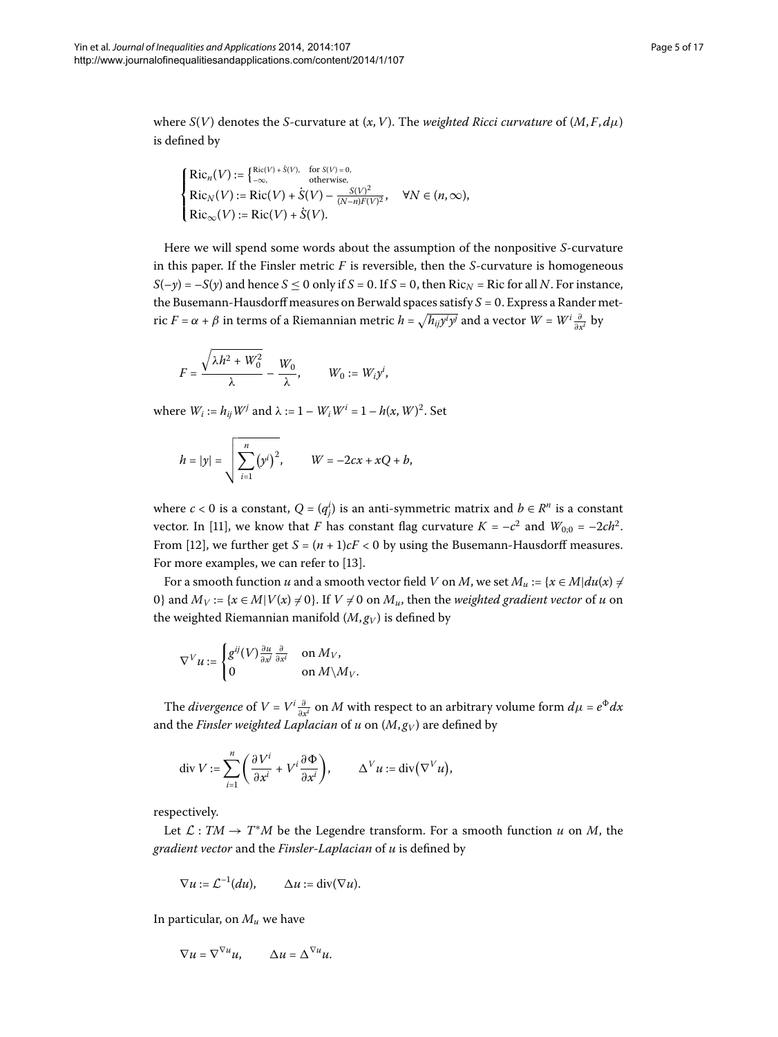where  $S(V)$  denotes the *S*-curvature at  $(x, V)$ . The *weighted Ricci curvature* of  $(M, F, d\mu)$ is defined by

$$
\begin{cases}\text{Ric}_{n}(V):=\left\{\begin{matrix}\text{Ric}(V)+\dot{S}(V), & \text{for }S(V)=0,\\ -\infty, & \text{otherwise},\end{matrix}\right.\\ \text{Ric}_{N}(V):=\text{Ric}(V)+\dot{S}(V)-\frac{S(V)^{2}}{(N-n)F(V)^{2}}, & \forall N\in(n,\infty),\\ \text{Ric}_{\infty}(V):=\text{Ric}(V)+\dot{S}(V).\end{cases}
$$

Here we will spend some words about the assumption of the nonpositive *S*-curvature in this paper. If the Finsler metric *F* is reversible, then the *S*-curvature is homogeneous  $S(-y) = -S(y)$  and hence  $S \le 0$  only if  $S = 0$ . If  $S = 0$ , then Ric<sub>*N*</sub> = Ric for all *N*. For instance, the Busemann-Hausdorff measures on Berwald spaces satisfy  $S = 0$ . Express a Rander metric *F* =  $\alpha$  +  $\beta$  in terms of a Riemannian metric  $h = \sqrt{h_{ij}y^i y^j}$  and a vector  $W = W^i \frac{\partial}{\partial x^i}$  by

$$
F = \frac{\sqrt{\lambda h^2 + W_0^2}}{\lambda} - \frac{W_0}{\lambda}, \qquad W_0 := W_i y^i,
$$

where  $W_i := h_{ij}W^j$  and  $\lambda := 1 - W_iW^i = 1 - h(x, W)^2$ . Set

$$
h = |y| = \sqrt{\sum_{i=1}^{n} (y^{i})^{2}}, \qquad W = -2cx + xQ + b,
$$

where  $c < 0$  is a constant,  $Q = (q_j^i)$  is an anti-symmetric matrix and  $b \in R^n$  is a constant vector. In [11], we know that *F* has constant flag curvature  $K = -c^2$  and  $W_{0,0} = -2ch^2$ . From [12], we further get  $S = (n + 1)cF < 0$  by using the Busemann-Hausdorff measures. For more examples, we can refer to [13].

For a smooth function *u* and a smooth vector field *V* on *M*, we set  $M_u := \{x \in M | du(x) \neq$ 0} and  $M_V := \{x \in M | V(x) \neq 0\}$ . If  $V \neq 0$  on  $M_u$ , then the *weighted gradient vector* of *u* on the weighted Riemannian manifold  $(M, g_V)$  is defined by

$$
\nabla^V u := \begin{cases} g^{ij}(V) \frac{\partial u}{\partial x^j} \frac{\partial}{\partial x^i} & \text{on } M_V, \\ 0 & \text{on } M \backslash M_V. \end{cases}
$$

The *divergence* of  $V = V^i \frac{\partial}{\partial x^i}$  on  $M$  with respect to an arbitrary volume form  $d\mu = e^{\Phi} dx$ and the *Finsler weighted Laplacian* of *u* on  $(M, g_V)$  are defined by

$$
\operatorname{div} V := \sum_{i=1}^n \left( \frac{\partial V^i}{\partial x^i} + V^i \frac{\partial \Phi}{\partial x^i} \right), \qquad \Delta^V u := \operatorname{div} (\nabla^V u),
$$

respectively.

Let  $\mathcal{L}: TM \to T^*M$  be the Legendre transform. For a smooth function  $u$  on  $M$ , the *gradient vector* and the *Finsler-Laplacian* of *u* is defined by

$$
\nabla u := \mathcal{L}^{-1}(du), \qquad \Delta u := \text{div}(\nabla u).
$$

In particular, on *Mu* we have

$$
\nabla u = \nabla^{\nabla u} u, \qquad \Delta u = \Delta^{\nabla u} u.
$$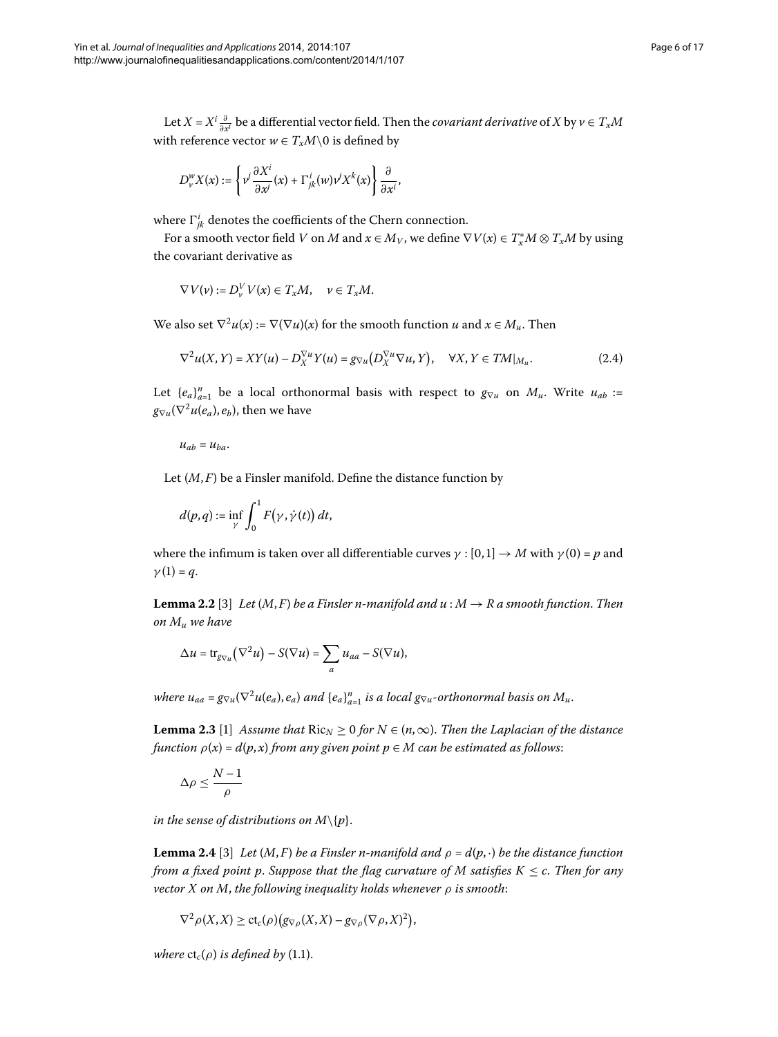Let  $X = X^i\frac{\partial}{\partial x^i}$  be a differential vector field. Then the *covariant derivative* of  $X$  by  $\nu \in T_xM$ with reference vector  $w \in T_xM \setminus 0$  is defined by

$$
D_{\nu}^{\nu}X(x) := \left\{\nu^{j}\frac{\partial X^{i}}{\partial x^{j}}(x) + \Gamma^{i}_{jk}(w)\nu^{j}X^{k}(x)\right\}\frac{\partial}{\partial x^{i}},
$$

where  $\Gamma^i_{jk}$  denotes the coefficients of the Chern connection.

For a smooth vector field *V* on *M* and  $x \in M_V$ , we define  $\nabla V(x) \in T^*_x M \otimes T_x M$  by using the covariant derivative as

<span id="page-5-0"></span>
$$
\nabla V(\nu) := D_{\nu}^V V(x) \in T_x M, \quad \nu \in T_x M.
$$

We also set  $\nabla^2 u(x) := \nabla(\nabla u)(x)$  for the smooth function *u* and  $x \in M_u$ . Then

$$
\nabla^2 u(X,Y) = XY(u) - D_X^{\nabla u} Y(u) = g_{\nabla u} (D_X^{\nabla u} \nabla u, Y), \quad \forall X, Y \in TM|_{M_u}.
$$
 (2.4)

Let  ${e_a}_{a=1}^n$  be a local orthonormal basis with respect to  $g_{\nabla u}$  on  $M_u$ . Write  $u_{ab}$  :=  $g_{\nabla u}(\nabla^2 u(e_a), e_b)$ , then we have

 $u_{ab} = u_{ba}$ .

<span id="page-5-2"></span>Let (*M*, *F*) be a Finsler manifold. Define the distance function by

$$
d(p,q):=\inf_{\gamma}\int_0^1 F(\gamma,\dot{\gamma}(t))\,dt,
$$

where the infimum is taken over all differentiable curves  $\gamma : [0,1] \to M$  with  $\gamma(0) = p$  and  $\gamma(1) = q$ .

<span id="page-5-3"></span>**Lemma 2.2** [3[\]](#page-16-5) *Let*  $(M, F)$  *be a Finsler n-manifold and*  $u : M \to R$  *a smooth function. Then on Mu we have*

$$
\Delta u = \operatorname{tr}_{g_{\nabla u}} (\nabla^2 u) - S(\nabla u) = \sum_a u_{aa} - S(\nabla u),
$$

*where*  $u_{aa} = g_{\nabla u}(\nabla^2 u(e_a), e_a)$  *and*  $\{e_a\}_{a=1}^n$  *is a local*  $g_{\nabla u}$ *-orthonormal basis on*  $M_u$ *.* 

<span id="page-5-1"></span>**Lemma 2.3** [\[](#page-16-2)1] Assume that  $\text{Ric}_N \geq 0$  for  $N \in (n, \infty)$ . Then the Laplacian of the distance *function*  $\rho(x) = d(p, x)$  *from any given point*  $p \in M$  *can be estimated as follows:* 

$$
\Delta \rho \leq \frac{N-1}{\rho}
$$

*in the sense of distributions on*  $M\{p\}$ .

**Lemma 2.4** [3[\]](#page-16-5) *Let*  $(M, F)$  *be a Finsler n-manifold and*  $\rho = d(p, \cdot)$  *be the distance function from a fixed point p. Suppose that the flag curvature of M satisfies*  $K \leq c$ *. Then for any vector X on M*, *the following inequality holds whenever ρ is smooth*:

$$
\nabla^2 \rho(X, X) \ge ct_c(\rho) \big( g_{\nabla \rho}(X, X) - g_{\nabla \rho}(\nabla \rho, X)^2 \big),
$$

*where*  $ct_c(\rho)$  *is defined by* (1[.](#page-1-0)1).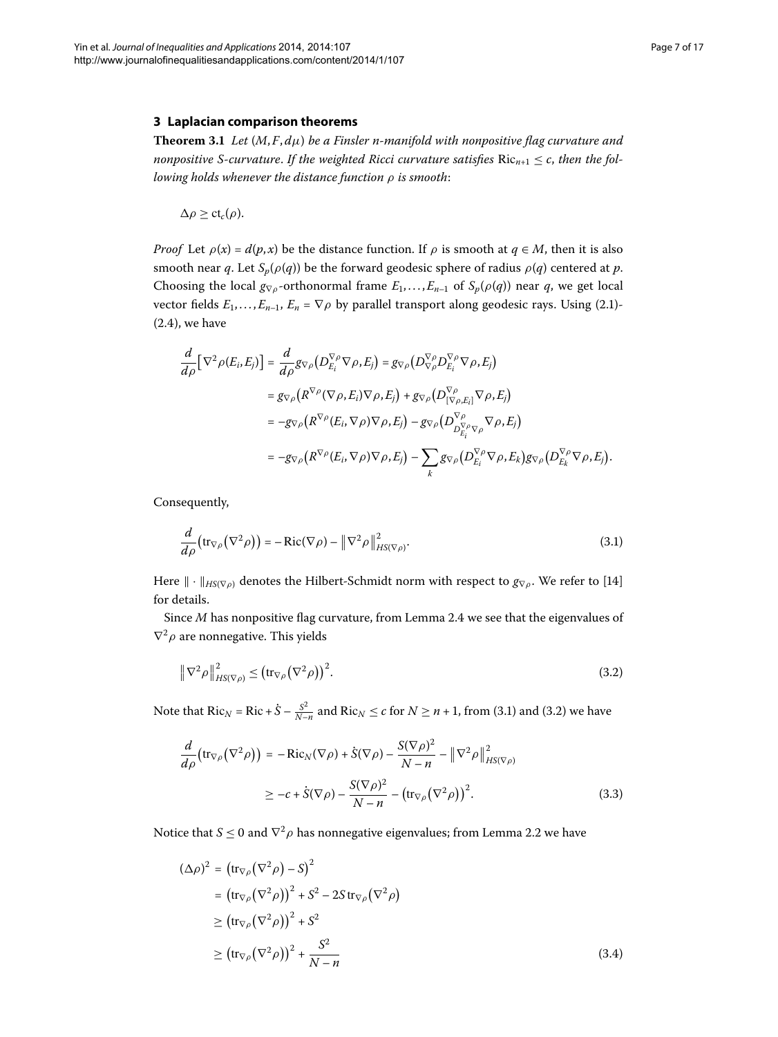### <span id="page-6-5"></span><span id="page-6-0"></span>**3 Laplacian comparison theorems**

**Theorem 3.1** Let  $(M, F, d\mu)$  be a Finsler n-manifold with nonpositive flag curvature and *nonpositive S-curvature. If the weighted Ricci curvature satisfies*  $Ric_{n+1} \leq c$ *, then the following holds whenever the distance function ρ is smooth*:

 $\Delta \rho \geq ct_c(\rho)$ .

*Proof* Let  $\rho(x) = d(p, x)$  be the distance function. If  $\rho$  is smooth at  $q \in M$ , then it is also smooth near *q*. Let  $S_p(\rho(q))$  be the forward geodesic sphere of radius  $\rho(q)$  centered at *p*. Choosing the local  $g_{\nabla\rho}$ -orthonormal frame  $E_1, \ldots, E_{n-1}$  of  $S_p(\rho(q))$  near *q*, we get local vector fields  $E_1$ ,..., $E_{n-1}$ ,  $E_n = \nabla \rho$  by parallel transport along geodesic rays. Using (2.1)- $(2.4)$  $(2.4)$  $(2.4)$ , we have

<span id="page-6-1"></span>
$$
\frac{d}{d\rho} [\nabla^2 \rho(E_i, E_j)] = \frac{d}{d\rho} g_{\nabla \rho} (D_{E_i}^{\nabla \rho} \nabla \rho, E_j) = g_{\nabla \rho} (D_{\nabla \rho}^{\nabla \rho} D_{E_i}^{\nabla \rho} \nabla \rho, E_j)
$$
\n
$$
= g_{\nabla \rho} (R^{\nabla \rho} (\nabla \rho, E_i) \nabla \rho, E_j) + g_{\nabla \rho} (D_{[\nabla \rho, E_i]}^{\nabla \rho} \nabla \rho, E_j)
$$
\n
$$
= -g_{\nabla \rho} (R^{\nabla \rho} (E_i, \nabla \rho) \nabla \rho, E_j) - g_{\nabla \rho} (D_{D_{E_i}^{\nabla \rho} \nabla \rho}^{\nabla \rho} \nabla \rho, E_j)
$$
\n
$$
= -g_{\nabla \rho} (R^{\nabla \rho} (E_i, \nabla \rho) \nabla \rho, E_j) - \sum_k g_{\nabla \rho} (D_{E_i}^{\nabla \rho} \nabla \rho, E_k) g_{\nabla \rho} (D_{E_k}^{\nabla \rho} \nabla \rho, E_j).
$$

Consequently,

<span id="page-6-2"></span>
$$
\frac{d}{d\rho} \left( \text{tr}_{\nabla \rho} (\nabla^2 \rho) \right) = - \text{Ric}(\nabla \rho) - ||\nabla^2 \rho||^2_{HS(\nabla \rho)}.
$$
\n(3.1)

Here  $\|\cdot\|_{HS(\nabla \rho)}$  denotes the Hilbert-Schmidt norm with respect to  $g_{\nabla \rho}$ . We refer to [14] for details.

<span id="page-6-3"></span>Since *M* has nonpositive flag curvature, from Lemma 2[.](#page-5-1)4 we see that the eigenvalues of  $\nabla^2 \rho$  are nonnegative. This yields

$$
\|\nabla^2 \rho\|_{HS(\nabla \rho)}^2 \le (\text{tr}_{\nabla \rho} (\nabla^2 \rho))^2. \tag{3.2}
$$

<span id="page-6-4"></span>Note that  $Ric_N = Ric + \dot{S} - \frac{S^2}{N-n}$  and  $Ric_N \le c$  for  $N \ge n + 1$ , from (3[.](#page-6-1)1) and (3.2) we have

$$
\frac{d}{d\rho} \left( \text{tr}_{\nabla \rho} (\nabla^2 \rho) \right) = -\text{Ric}_N(\nabla \rho) + \dot{S}(\nabla \rho) - \frac{S(\nabla \rho)^2}{N - n} - \left\| \nabla^2 \rho \right\|_{HS(\nabla \rho)}^2
$$
\n
$$
\geq -c + \dot{S}(\nabla \rho) - \frac{S(\nabla \rho)^2}{N - n} - \left( \text{tr}_{\nabla \rho} (\nabla^2 \rho) \right)^2. \tag{3.3}
$$

Notice that *S*  $\leq$  0 and  $\nabla^2 \rho$  has nonnegative eigenvalues; from Lemma 2[.](#page-5-2)2 we have

$$
(\Delta \rho)^2 = (\text{tr}_{\nabla \rho} (\nabla^2 \rho) - S)^2
$$
  
\n
$$
= (\text{tr}_{\nabla \rho} (\nabla^2 \rho))^2 + S^2 - 2S \text{ tr}_{\nabla \rho} (\nabla^2 \rho)
$$
  
\n
$$
\ge (\text{tr}_{\nabla \rho} (\nabla^2 \rho))^2 + S^2
$$
  
\n
$$
\ge (\text{tr}_{\nabla \rho} (\nabla^2 \rho))^2 + \frac{S^2}{N - n}
$$
 (3.4)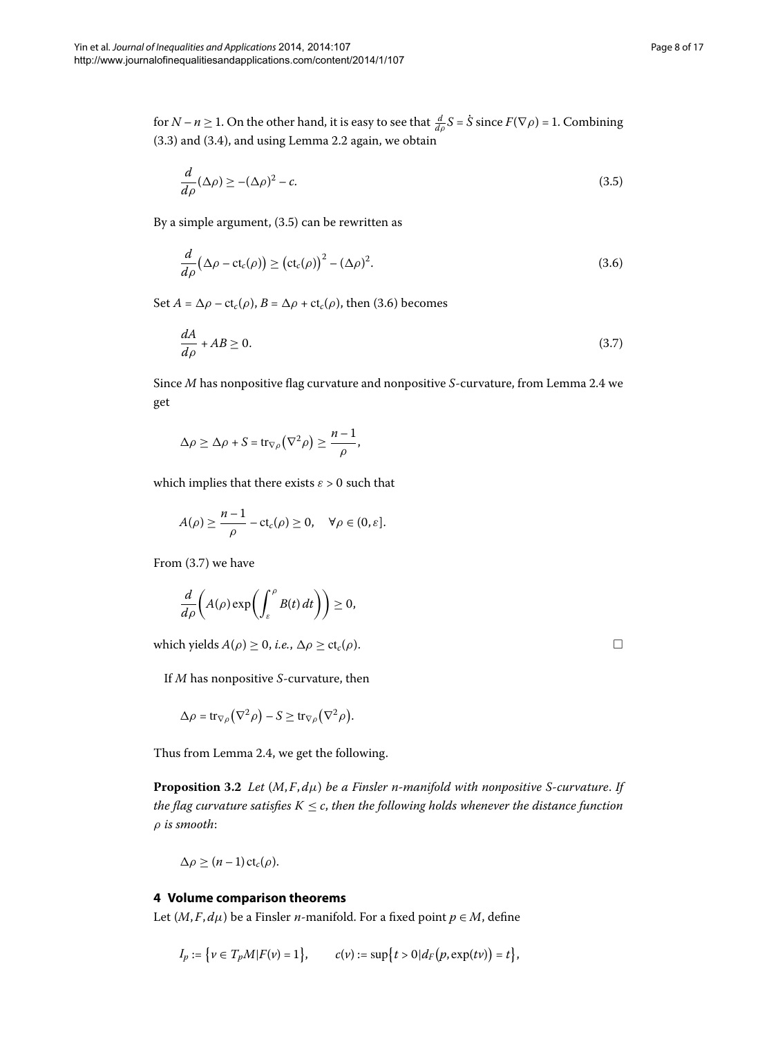for *N* – *n*  $\geq$  1. On the other hand, it is easy to see that  $\frac{d}{d\rho}S = \dot{S}$  since  $F(\nabla \rho)$  = 1. Combining  $(3.3)$  $(3.3)$  $(3.3)$  and  $(3.4)$ , and using Lemma 2.2 again, we obtain

<span id="page-7-2"></span><span id="page-7-1"></span>
$$
\frac{d}{d\rho}(\Delta \rho) \ge -(\Delta \rho)^2 - c.\tag{3.5}
$$

By a simple argument,  $(3.5)$  can be rewritten as

<span id="page-7-3"></span>
$$
\frac{d}{d\rho}(\Delta \rho - ct_c(\rho)) \ge (ct_c(\rho))^2 - (\Delta \rho)^2.
$$
\n(3.6)

Set  $A = \Delta \rho - ct_c(\rho)$ ,  $B = \Delta \rho + ct_c(\rho)$ , then (3.6) becomes

$$
\frac{dA}{d\rho} + AB \ge 0. \tag{3.7}
$$

Since *M* has nonpositive flag curvature and nonpositive *S*-curvature, from Lemma 2[.](#page-5-1)4 we get

$$
\Delta \rho \geq \Delta \rho + S = \text{tr}_{\nabla \rho} (\nabla^2 \rho) \geq \frac{n-1}{\rho},
$$

which implies that there exists  $\varepsilon > 0$  such that

$$
A(\rho) \geq \frac{n-1}{\rho} - \text{ct}_c(\rho) \geq 0, \quad \forall \rho \in (0, \varepsilon].
$$

From  $(3.7)$  we have

$$
\frac{d}{d\rho}\bigg(A(\rho)\exp\biggl(\int_{\varepsilon}^{\rho}B(t)\,dt\biggr)\bigg)\geq 0,
$$

which yields  $A(\rho) \geq 0$ , *i.e.*,  $\Delta \rho \geq ct_c(\rho)$ .

<span id="page-7-4"></span>If *M* has nonpositive *S*-curvature, then

$$
\Delta \rho = \operatorname{tr}_{\nabla \rho} (\nabla^2 \rho) - S \geq \operatorname{tr}_{\nabla \rho} (\nabla^2 \rho).
$$

Thus from Lemma 2.4, we get the following.

<span id="page-7-0"></span>**Proposition 3.2** Let  $(M, F, d\mu)$  be a Finsler n-manifold with nonpositive S-curvature. If *the flag curvature satisfies*  $K \leq c$ , *then the following holds whenever the distance function ρ is smooth*:

$$
\Delta \rho \geq (n-1) \, \text{ct}_c(\rho).
$$

# **4 Volume comparison theorems**

Let  $(M, F, d\mu)$  be a Finsler *n*-manifold. For a fixed point  $p \in M$ , define

$$
I_p := \{ v \in T_p M | F(v) = 1 \}, \qquad c(v) := \sup \{ t > 0 | d_F(p, \exp(tv)) = t \},
$$

 $\Box$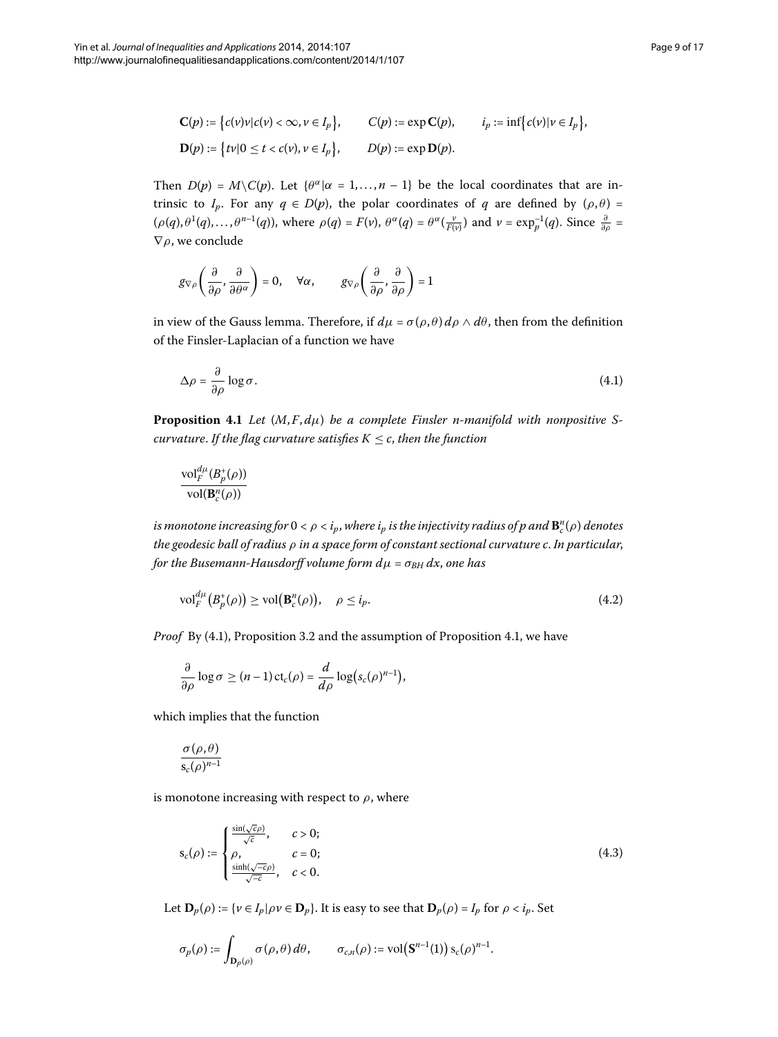$$
\mathbf{C}(p) := \left\{ c(v)v | c(v) < \infty, v \in I_p \right\}, \qquad \mathbf{C}(p) := \exp \mathbf{C}(p), \qquad i_p := \inf \left\{ c(v) | v \in I_p \right\},
$$
\n
$$
\mathbf{D}(p) := \left\{ tv | 0 \le t < c(v), v \in I_p \right\}, \qquad D(p) := \exp \mathbf{D}(p).
$$

Then  $D(p) = M\setminus C(p)$ . Let  $\{\theta^{\alpha} | \alpha = 1, ..., n-1\}$  be the local coordinates that are intrinsic to *I<sub>p</sub>*. For any  $q \in D(p)$ , the polar coordinates of *q* are defined by  $(\rho, \theta)$  =  $(\rho(q), \theta^1(q), \dots, \theta^{n-1}(q))$ , where  $\rho(q) = F(\nu)$ ,  $\theta^{\alpha}(q) = \theta^{\alpha}(\frac{\nu}{F(\nu)})$  and  $\nu = \exp_p^{-1}(q)$ . Since  $\frac{\partial}{\partial \rho} =$ ∇*ρ*, we conclude

<span id="page-8-0"></span>
$$
g_{\nabla\rho}\left(\frac{\partial}{\partial\rho},\frac{\partial}{\partial\theta^\alpha}\right)=0,\quad \forall\alpha,\qquad g_{\nabla\rho}\left(\frac{\partial}{\partial\rho},\frac{\partial}{\partial\rho}\right)=1
$$

<span id="page-8-1"></span>in view of the Gauss lemma. Therefore, if  $d\mu = \sigma(\rho, \theta) d\rho \wedge d\theta$ , then from the definition of the Finsler-Laplacian of a function we have

$$
\Delta \rho = \frac{\partial}{\partial \rho} \log \sigma. \tag{4.1}
$$

**Proposition 4.1** Let  $(M, F, d\mu)$  be a complete Finsler n-manifold with nonpositive S*curvature. If the flag curvature satisfies*  $K \leq c$ , *then the function* 

<span id="page-8-2"></span>
$$
\frac{\mathrm{vol}_{F}^{d\mu}(B_{p}^{+}(\rho))}{\mathrm{vol}(\mathbf{B}_{c}^{n}(\rho))}
$$

 $i$ s monotone increasing for  $0 < \rho < i_p$ , where  $i_p$  is the injectivity radius of  $p$  and  $\mathbf{B}^n_c(\rho)$  denotes *the geodesic ball of radius ρ in a space form of constant sectional curvature c*. *In particular*, *for the Busemann-Hausdorff volume form*  $d\mu = \sigma_{BH} dx$ *, one has* 

$$
\text{vol}_{F}^{d\mu}\big(B_{p}^{+}(\rho)\big) \ge \text{vol}\big(\mathbf{B}_{c}^{n}(\rho)\big), \quad \rho \le i_{p}.\tag{4.2}
$$

*Proof* By (4[.](#page-8-1)1), Proposition 3.2 and the assumption of Proposition 4.1, we have

$$
\frac{\partial}{\partial \rho} \log \sigma \ge (n-1) \operatorname{ct}_c(\rho) = \frac{d}{d\rho} \log(s_c(\rho)^{n-1}),
$$

which implies that the function

$$
\frac{\sigma(\rho,\theta)}{\mathsf{s}_c(\rho)^{n-1}}
$$

is monotone increasing with respect to  $\rho$ , where

$$
s_c(\rho) := \begin{cases} \frac{\sin(\sqrt{c}\rho)}{\sqrt{c}}, & c > 0; \\ \rho, & c = 0; \\ \frac{\sinh(\sqrt{-c}\rho)}{\sqrt{-c}}, & c < 0. \end{cases}
$$
(4.3)

Let  $\mathbf{D}_p(\rho) := \{ v \in I_p | \rho v \in \mathbf{D}_p \}$ . It is easy to see that  $\mathbf{D}_p(\rho) = I_p$  for  $\rho < i_p$ . Set

$$
\sigma_p(\rho) := \int_{\mathbf{D}_p(\rho)} \sigma(\rho,\theta)\,d\theta, \qquad \sigma_{c,n}(\rho) := \mathrm{vol}\big(\mathbf{S}^{n-1}(1)\big)\,s_c(\rho)^{n-1}.
$$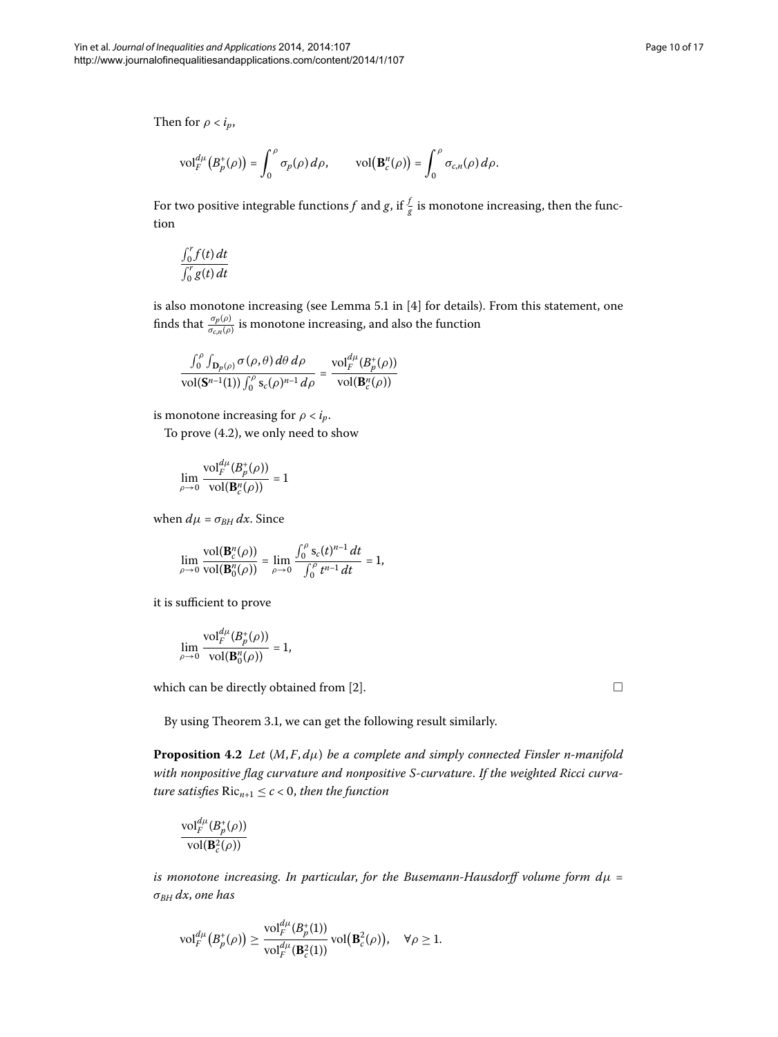$$
\text{vol}^{d\mu}_F(B_p^+(\rho)) = \int_0^\rho \sigma_p(\rho) \, d\rho, \qquad \text{vol}\big(\mathbf{B}_c^n(\rho)\big) = \int_0^\rho \sigma_{c,n}(\rho) \, d\rho.
$$

For two positive integrable functions  $f$  and  $g$ , if  $\frac{f}{g}$  is monotone increasing, then the function

$$
\frac{\int_0^r f(t) \, dt}{\int_0^r g(t) \, dt}
$$

is also monotone increasing (see Lemma 5.1 in  $[4]$  for details). From this statement, one finds that  $\frac{\sigma_p(\rho)}{\sigma_{c,n}(\rho)}$  is monotone increasing, and also the function

$$
\frac{\int_0^{\rho} \int_{\mathbf{D}_p(\rho)} \sigma(\rho,\theta) d\theta d\rho}{\mathrm{vol}(\mathbf{S}^{n-1}(1)) \int_0^{\rho} s_c(\rho)^{n-1} d\rho} = \frac{\mathrm{vol}_F^{d\mu}(B_p^+(\rho))}{\mathrm{vol}(\mathbf{B}_c^n(\rho))}
$$

is monotone increasing for  $\rho < i_p$ .

To prove  $(4.2)$ , we only need to show

$$
\lim_{\rho \to 0} \frac{\mathrm{vol}^{d\mu}_F(B^+_p(\rho))}{\mathrm{vol}(\mathbf{B}^n_c(\rho))} = 1
$$

when  $d\mu = \sigma_{BH} dx$ . Since

$$
\lim_{\rho \to 0} \frac{\text{vol}(\mathbf{B}_{c}^{n}(\rho))}{\text{vol}(\mathbf{B}_{0}^{n}(\rho))} = \lim_{\rho \to 0} \frac{\int_{0}^{\rho} s_{c}(t)^{n-1} dt}{\int_{0}^{\rho} t^{n-1} dt} = 1,
$$

it is sufficient to prove

<span id="page-9-0"></span>
$$
\lim_{\rho\to 0}\frac{\textrm{vol}_{F}^{d\mu}(B_{p}^{+}(\rho))}{\textrm{vol}(\mathbf{B}_{0}^{n}(\rho))}=1,
$$

which can be directly obtained from [2].  $\Box$ 

By using Theorem 3.1, we can get the following result similarly.

**Proposition .** *Let* (*M*, *F*, *dμ*) *be a complete and simply connected Finsler n-manifold with nonpositive flag curvature and nonpositive S-curvature*. *If the weighted Ricci curvature satisfies*  $Ric_{n+1} \leq c < 0$ *, then the function* 

$$
\frac{\mathrm{vol}^{d\mu}_F(B^*_p(\rho))}{\mathrm{vol}(\mathbf{B}^2_c(\rho))}
$$

*is monotone increasing*. *In particular*, *for the Busemann-Hausdorff volume form dμ* = *σBH dx*, *one has*

$$
\mathrm{vol}^{d\mu}_F\big(B^+_{p}(\rho)\big) \geq \frac{\mathrm{vol}^{d\mu}_F(B^+_{p}(1))}{\mathrm{vol}^{d\mu}_F(\mathbf{B}^2_{c}(1))} \,\mathrm{vol}\big(\mathbf{B}^2_{c}(\rho)\big), \quad \forall \rho \geq 1.
$$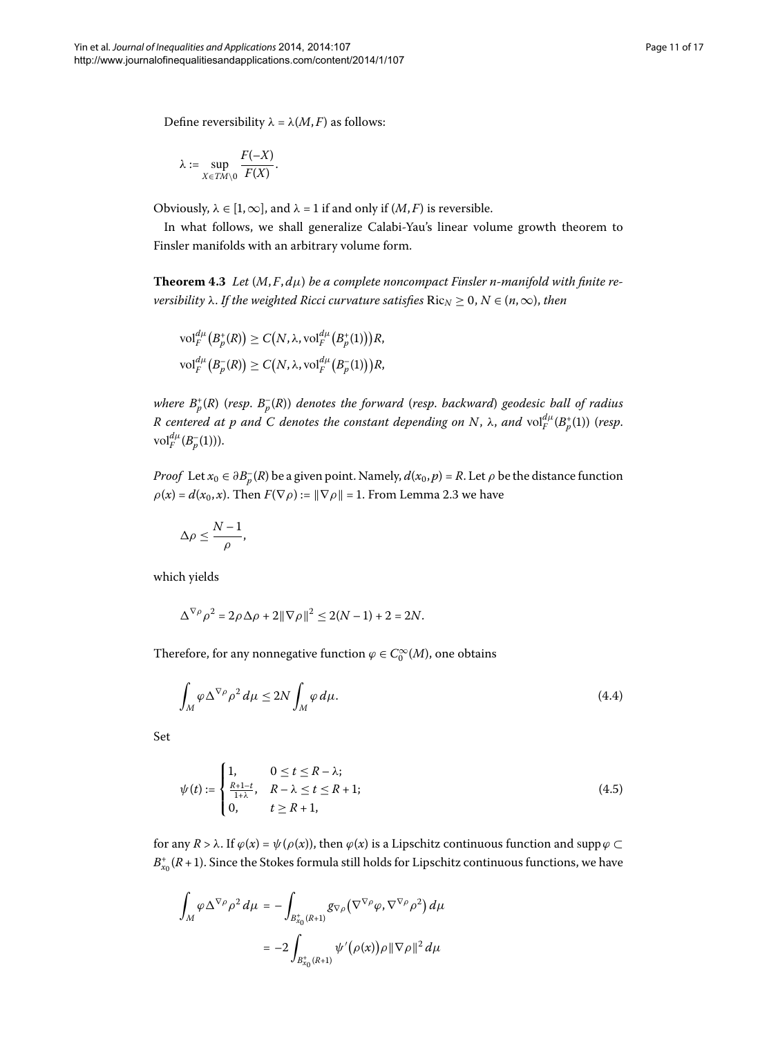Define reversibility  $λ = λ(M, F)$  as follows:

<span id="page-10-1"></span>
$$
\lambda := \sup_{X \in TM \setminus 0} \frac{F(-X)}{F(X)}.
$$

Obviously,  $\lambda \in [1, \infty]$ , and  $\lambda = 1$  if and only if  $(M, F)$  is reversible.

In what follows, we shall generalize Calabi-Yau's linear volume growth theorem to Finsler manifolds with an arbitrary volume form.

**Theorem 4.3** Let  $(M, F, d\mu)$  be a complete noncompact Finsler n-manifold with finite re*versibility*  $\lambda$ . *If the weighted Ricci curvature satisfies*  $Ric_N \geq 0, N \in (n, \infty)$ , *then* 

$$
\mathrm{vol}^{d\mu}_F(B_p^+(R)) \geq C(N, \lambda, \mathrm{vol}^{d\mu}_F(B_p^+(1)))R,
$$
  

$$
\mathrm{vol}^{d\mu}_F(B_p^-(R)) \geq C(N, \lambda, \mathrm{vol}^{d\mu}_F(B_p^-(1)))R,
$$

*where B*<sup>+</sup> *<sup>p</sup>* (*R*) (*resp*. *B*– *<sup>p</sup>* (*R*)) *denotes the forward* (*resp*. *backward*) *geodesic ball of radius*  $R$  centered at  $p$  and  $C$  denotes the constant depending on  $N$ ,  $\lambda$ , and  $\mathrm{vol}_{F}^{d\mu}(B_{p}^{+}(1))$  (resp.  $vol_F^{d\mu}(B_p^{-}(1))$ ).

*Proof* Let  $x_0 \in \partial B_p^{-}(R)$  be a given point. Namely,  $d(x_0, p) = R$ . Let  $\rho$  be the distance function  $\rho(x) = d(x_0, x)$ [.](#page-5-3) Then  $F(\nabla \rho) := ||\nabla \rho|| = 1$ . From Lemma 2.3 we have

$$
\Delta \rho \leq \frac{N-1}{\rho},
$$

which yields

<span id="page-10-0"></span>
$$
\Delta^{\nabla \rho} \rho^2 = 2\rho \Delta \rho + 2\|\nabla \rho\|^2 \le 2(N-1) + 2 = 2N.
$$

Therefore, for any nonnegative function  $\varphi \in C_0^{\infty}(M)$ , one obtains

$$
\int_{M} \varphi \Delta^{\nabla \rho} \rho^{2} d\mu \le 2N \int_{M} \varphi d\mu.
$$
\n(4.4)

Set

$$
\psi(t) := \begin{cases} 1, & 0 \le t \le R - \lambda; \\ \frac{R+1-t}{1+\lambda}, & R - \lambda \le t \le R + 1; \\ 0, & t \ge R + 1, \end{cases} \tag{4.5}
$$

for any *R* >  $\lambda$ . If  $\varphi(x) = \psi(\rho(x))$ , then  $\varphi(x)$  is a Lipschitz continuous function and supp  $\varphi \subset$  $B_{x_0}^+(R+1)$ . Since the Stokes formula still holds for Lipschitz continuous functions, we have

$$
\begin{array}{l} \displaystyle\int_M\varphi\Delta^{\nabla\rho}\rho^2\,d\mu=-\int_{B_{x_0}^+(R+1)}g_{\nabla\rho}\big(\nabla^{\nabla\rho}\varphi,\nabla^{\nabla\rho}\rho^2\big)\,d\mu\\ \\ \displaystyle\qquad=-2\int_{B_{x_0}^+(R+1)}\psi'\big(\rho(x)\big)\rho\|\nabla\rho\|^2\,d\mu \end{array}
$$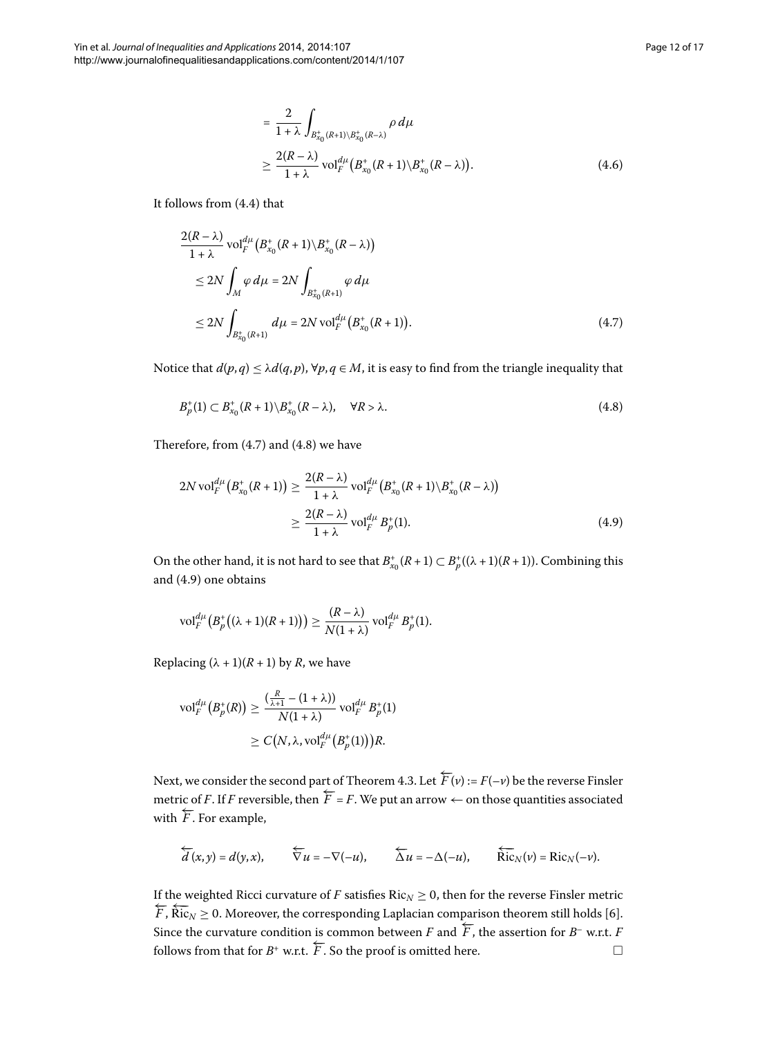<span id="page-11-1"></span><span id="page-11-0"></span>
$$
= \frac{2}{1+\lambda} \int_{B_{x_0}^+(R+1)\setminus B_{x_0}^+(R-\lambda)} \rho \, d\mu
$$
  
 
$$
\geq \frac{2(R-\lambda)}{1+\lambda} \operatorname{vol}_F^{d\mu} (B_{x_0}^+(R+1)\setminus B_{x_0}^+(R-\lambda)). \tag{4.6}
$$

It follows from  $(4.4)$  that

$$
\frac{2(R-\lambda)}{1+\lambda} \operatorname{vol}_{F}^{d\mu} (B_{x_{0}}^{+}(R+1)\backslash B_{x_{0}}^{+}(R-\lambda))
$$
\n
$$
\leq 2N \int_{M} \varphi \, d\mu = 2N \int_{B_{x_{0}}^{+}(R+1)} \varphi \, d\mu
$$
\n
$$
\leq 2N \int_{B_{x_{0}}^{+}(R+1)} d\mu = 2N \operatorname{vol}_{F}^{d\mu} (B_{x_{0}}^{+}(R+1)). \tag{4.7}
$$

<span id="page-11-2"></span>Notice that  $d(p, q) \leq \lambda d(q, p)$ ,  $\forall p, q \in M$ , it is easy to find from the triangle inequality that

$$
B_p^+(1) \subset B_{x_0}^+(R+1) \backslash B_{x_0}^+(R-\lambda), \quad \forall R > \lambda.
$$
\n
$$
(4.8)
$$

Therefore, from  $(4.7)$  $(4.7)$  $(4.7)$  and  $(4.8)$  we have

$$
2N \operatorname{vol}_{F}^{d\mu} (B_{x_{0}}^{+}(R+1)) \ge \frac{2(R-\lambda)}{1+\lambda} \operatorname{vol}_{F}^{d\mu} (B_{x_{0}}^{+}(R+1) \setminus B_{x_{0}}^{+}(R-\lambda))
$$
  

$$
\ge \frac{2(R-\lambda)}{1+\lambda} \operatorname{vol}_{F}^{d\mu} B_{p}^{+}(1).
$$
 (4.9)

On the other hand, it is not hard to see that  $B^*_{x_0}(R+1) \subset B^*_p((\lambda+1)(R+1))$ . Combining this and  $(4.9)$  one obtains

$$
\mathrm{vol}^{d\mu}_F\big(B^+_p\big((\lambda+1)(R+1)\big)\big)\geq \frac{(R-\lambda)}{N(1+\lambda)}\,\mathrm{vol}^{d\mu}_F\,B^+_p(1).
$$

Replacing  $(\lambda + 1)(R + 1)$  by *R*, we have

$$
\operatorname{vol}_{F}^{d\mu}\left(B_{p}^{+}(R)\right) \geq \frac{\left(\frac{R}{\lambda+1} - (1+\lambda)\right)}{N(1+\lambda)} \operatorname{vol}_{F}^{d\mu} B_{p}^{+}(1)
$$

$$
\geq C\big(N, \lambda, \operatorname{vol}_{F}^{d\mu}\left(B_{p}^{+}(1)\right)\big)R.
$$

Next, we consider the second part of Theorem 4.3. Let  $\overleftarrow{F}(v)$  :=  $F(-v)$  be the reverse Finsler metric of *F*. If *F* reversible, then  $F = F$ . We put an arrow ← on those quantities associated with  $\overleftarrow{F}$ . For example,

$$
\overleftarrow{d}(x,y)=d(y,x),\qquad \overleftarrow{\nabla} u=-\nabla(-u),\qquad \overleftarrow{\Delta} u=-\Delta(-u),\qquad \overleftarrow{\text{Ric}}_N(v)=\text{Ric}_N(-v).
$$

If the weighted Ricci curvature of *F* satisfies  $Ric_N \geq 0$ , then for the reverse Finsler metric  $\overleftarrow{F}, \overleftarrow{\text{Ric}}_N \geq 0$ . Moreover, the corresponding Laplacian comparison theorem still holds [6]. Since the curvature condition is common between *F* and  $\overleftarrow{F}$ , the assertion for *B*<sup>–</sup> w.r.t. *F* follows from that for  $B^+$  w.r.t.  $\overleftarrow{F}$ . So the proof is omitted here.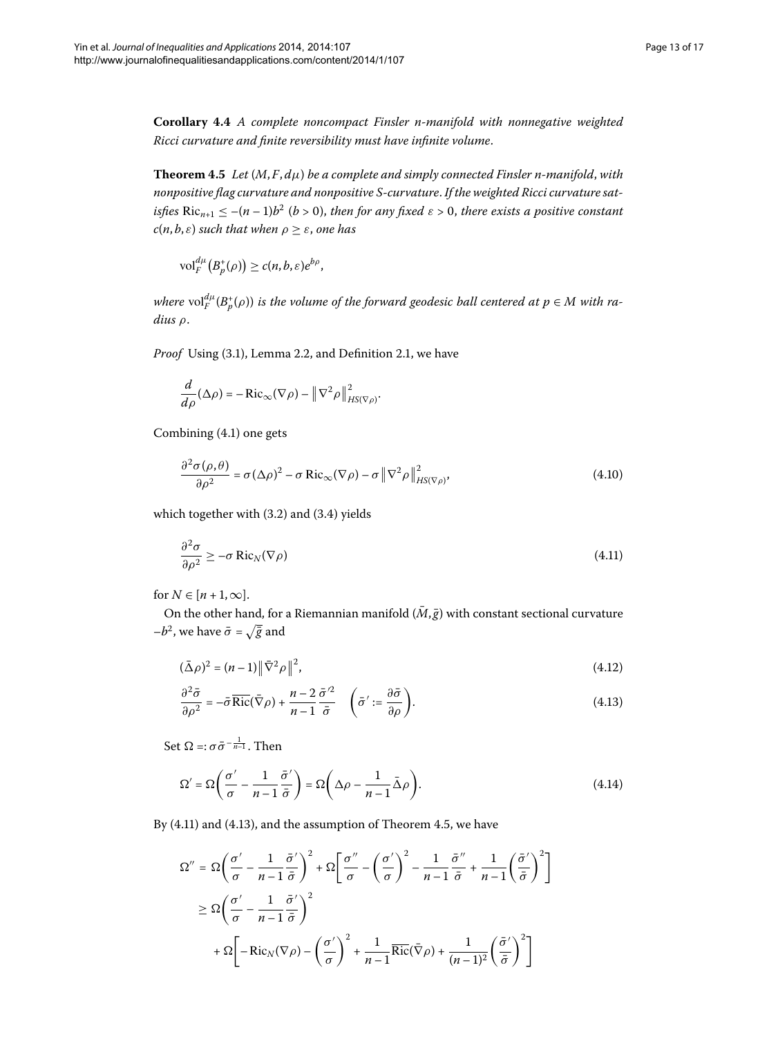<span id="page-12-2"></span>**Corollary .** *A complete noncompact Finsler n-manifold with nonnegative weighted Ricci curvature and finite reversibility must have infinite volume*.

**Theorem 4.5** Let  $(M, F, d\mu)$  be a complete and simply connected Finsler n-manifold, with *nonpositive flag curvature and nonpositive S-curvature*. *If the weighted Ricci curvature satisfies*  $Ric_{n+1} \leq -(n-1)b^2$  ( $b > 0$ ), then for any fixed  $\varepsilon > 0$ , there exists a positive constant *c*(*n*, *b*, *ε*) *such that when*  $ρ \ge ε$ , *one has* 

$$
\mathrm{vol}^{d\mu}_F\big(B^+_{p}(\rho)\big) \ge c(n,b,\varepsilon)e^{b\rho},
$$

*where*  $\text{vol}_{F}^{\mu}(B_{p}^{+}(\rho))$  *is the volume of the forward geodesic ball centered at*  $p\in M$  *with radius ρ*.

Proof Using (3[.](#page-5-2)1), Lemma 2.2, and Definition 2.1, we have

$$
\frac{d}{d\rho}(\Delta\rho)=-\mathrm{Ric}_{\infty}(\nabla\rho)-\left\|\nabla^2\rho\right\|_{HS(\nabla\rho)}^2.
$$

Combining (4.1) one gets

<span id="page-12-0"></span>
$$
\frac{\partial^2 \sigma(\rho, \theta)}{\partial \rho^2} = \sigma (\Delta \rho)^2 - \sigma \text{ Ric}_{\infty} (\nabla \rho) - \sigma \left\| \nabla^2 \rho \right\|_{HS(\nabla \rho)}^2,
$$
\n(4.10)

which together with  $(3.2)$  and  $(3.4)$  yields

<span id="page-12-1"></span>
$$
\frac{\partial^2 \sigma}{\partial \rho^2} \ge -\sigma \operatorname{Ric}_N(\nabla \rho) \tag{4.11}
$$

for  $N \in [n+1,\infty]$ .

On the other hand, for a Riemannian manifold  $(\bar{M}, \bar{g})$  with constant sectional curvature  $-b^2$ , we have  $\bar{\sigma} = \sqrt{\bar{g}}$  and

$$
(\bar{\Delta}\rho)^2 = (n-1)\|\bar{\nabla}^2\rho\|^2,
$$
\n(4.12)

$$
\frac{\partial^2 \bar{\sigma}}{\partial \rho^2} = -\bar{\sigma} \overline{\text{Ric}}(\bar{\nabla}\rho) + \frac{n-2}{n-1} \frac{\bar{\sigma}^2}{\bar{\sigma}} \quad \left(\bar{\sigma}' := \frac{\partial \bar{\sigma}}{\partial \rho}\right).
$$
(4.13)

Set  $\Omega =: \sigma \bar{\sigma}^{-\frac{1}{n-1}}$ . Then

$$
\Omega' = \Omega \left( \frac{\sigma'}{\sigma} - \frac{1}{n-1} \frac{\bar{\sigma}'}{\bar{\sigma}} \right) = \Omega \left( \Delta \rho - \frac{1}{n-1} \bar{\Delta} \rho \right). \tag{4.14}
$$

By  $(4.11)$  and  $(4.13)$ , and the assumption of Theorem 4.5, we have

$$
\Omega'' = \Omega \left( \frac{\sigma'}{\sigma} - \frac{1}{n-1} \frac{\bar{\sigma}'}{\bar{\sigma}} \right)^2 + \Omega \left[ \frac{\sigma''}{\sigma} - \left( \frac{\sigma'}{\sigma} \right)^2 - \frac{1}{n-1} \frac{\bar{\sigma}''}{\bar{\sigma}} + \frac{1}{n-1} \left( \frac{\bar{\sigma}'}{\bar{\sigma}} \right)^2 \right]
$$
  

$$
\geq \Omega \left( \frac{\sigma'}{\sigma} - \frac{1}{n-1} \frac{\bar{\sigma}'}{\bar{\sigma}} \right)^2
$$
  

$$
+ \Omega \left[ -\text{Ric}_N(\nabla \rho) - \left( \frac{\sigma'}{\sigma} \right)^2 + \frac{1}{n-1} \overline{\text{Ric}}(\bar{\nabla} \rho) + \frac{1}{(n-1)^2} \left( \frac{\bar{\sigma}'}{\bar{\sigma}} \right)^2 \right]
$$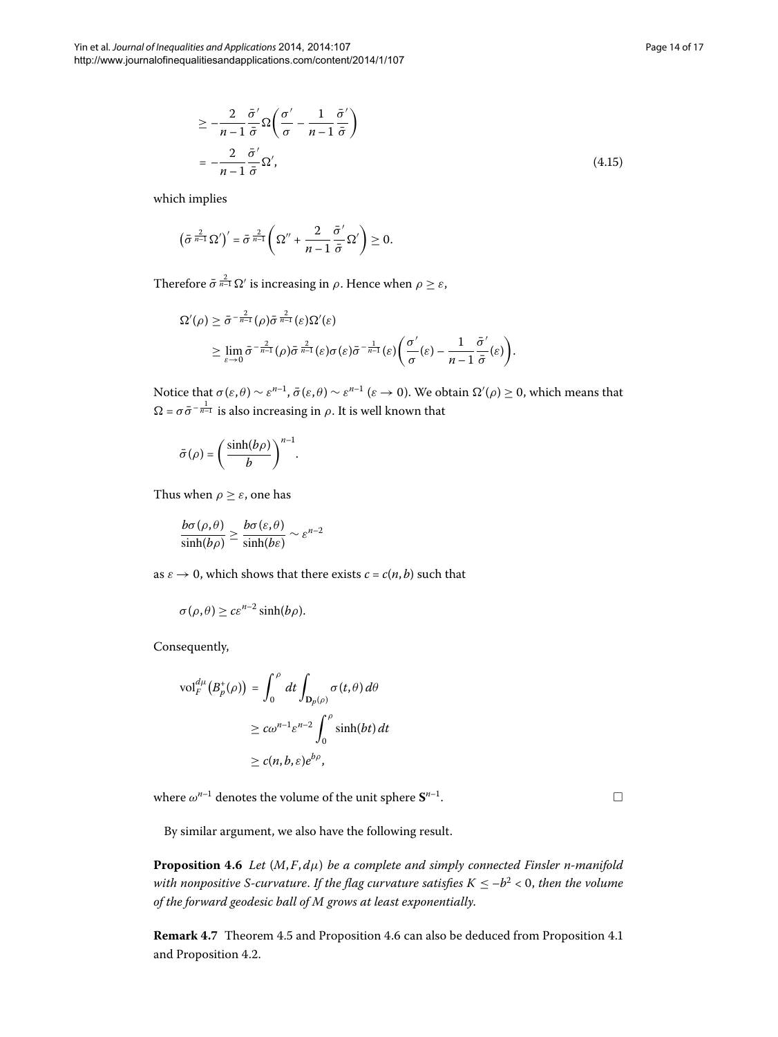$$
\geq -\frac{2}{n-1} \frac{\bar{\sigma}'}{\bar{\sigma}} \Omega \left( \frac{\sigma'}{\sigma} - \frac{1}{n-1} \frac{\bar{\sigma}'}{\bar{\sigma}} \right)
$$
  
= 
$$
-\frac{2}{n-1} \frac{\bar{\sigma}'}{\bar{\sigma}} \Omega', \tag{4.15}
$$

which implies

$$
\left(\bar{\sigma}^{\frac{2}{n-1}}\Omega'\right)'=\bar{\sigma}^{\frac{2}{n-1}}\left(\Omega''+\frac{2}{n-1}\frac{\bar{\sigma}'}{\bar{\sigma}}\Omega'\right)\geq 0.
$$

Therefore  $\bar{\sigma} \frac{2}{n-1} \Omega'$  is increasing in  $\rho$ . Hence when  $\rho \geq \varepsilon$ ,

$$
\Omega'(\rho) \geq \bar{\sigma}^{-\frac{2}{n-1}}(\rho) \bar{\sigma}^{\frac{2}{n-1}}(\varepsilon) \Omega'(\varepsilon) \geq \lim_{\varepsilon \to 0} \bar{\sigma}^{-\frac{2}{n-1}}(\rho) \bar{\sigma}^{\frac{2}{n-1}}(\varepsilon) \sigma(\varepsilon) \bar{\sigma}^{-\frac{1}{n-1}}(\varepsilon) \bigg(\frac{\sigma'}{\sigma}(\varepsilon) - \frac{1}{n-1} \frac{\bar{\sigma}'}{\bar{\sigma}}(\varepsilon)\bigg).
$$

Notice that  $\sigma(\varepsilon, \theta) \sim \varepsilon^{n-1}$ ,  $\bar{\sigma}(\varepsilon, \theta) \sim \varepsilon^{n-1}$  ( $\varepsilon \to 0$ ). We obtain  $\Omega'(\rho) \ge 0$ , which means that  $\Omega = \sigma \bar{\sigma}^{-\frac{1}{n-1}}$  is also increasing in *ρ*. It is well known that

$$
\bar{\sigma}(\rho)=\Bigg(\frac{\sinh(b\rho)}{b}\Bigg)^{n-1}.
$$

Thus when  $\rho > \varepsilon$ , one has

$$
\frac{b\sigma(\rho,\theta)}{\sinh(b\rho)} \ge \frac{b\sigma(\varepsilon,\theta)}{\sinh(b\varepsilon)} \sim \varepsilon^{n-2}
$$

as  $\varepsilon \to 0$ , which shows that there exists  $c = c(n, b)$  such that

$$
\sigma(\rho,\theta) \geq c \varepsilon^{n-2} \sinh(b\rho).
$$

Consequently,

$$
\text{vol}_{F}^{d\mu}(B_{p}^{+}(\rho)) = \int_{0}^{\rho} dt \int_{\mathbf{D}_{p}(\rho)} \sigma(t,\theta) d\theta
$$

$$
\geq c\omega^{n-1} \varepsilon^{n-2} \int_{0}^{\rho} \sinh(bt) dt
$$

$$
\geq c(n, b, \varepsilon) e^{b\rho},
$$

<span id="page-13-0"></span>where  $\omega^{n-1}$  denotes the volume of the unit sphere  $S^{n-1}$ .

By similar argument, we also have the following result.

**Proposition 4.6** Let  $(M, F, d\mu)$  be a complete and simply connected Finsler n-manifold *with nonpositive S-curvature. If the flag curvature satisfies*  $K \le -b^2 < 0$ *, then the volume of the forward geodesic ball of M grows at least exponentially*.

**Remark 4[.](#page-8-1)7** Theorem 4.5 and Proposition 4.6 can also be deduced from Proposition 4.1 and Proposition 4.2.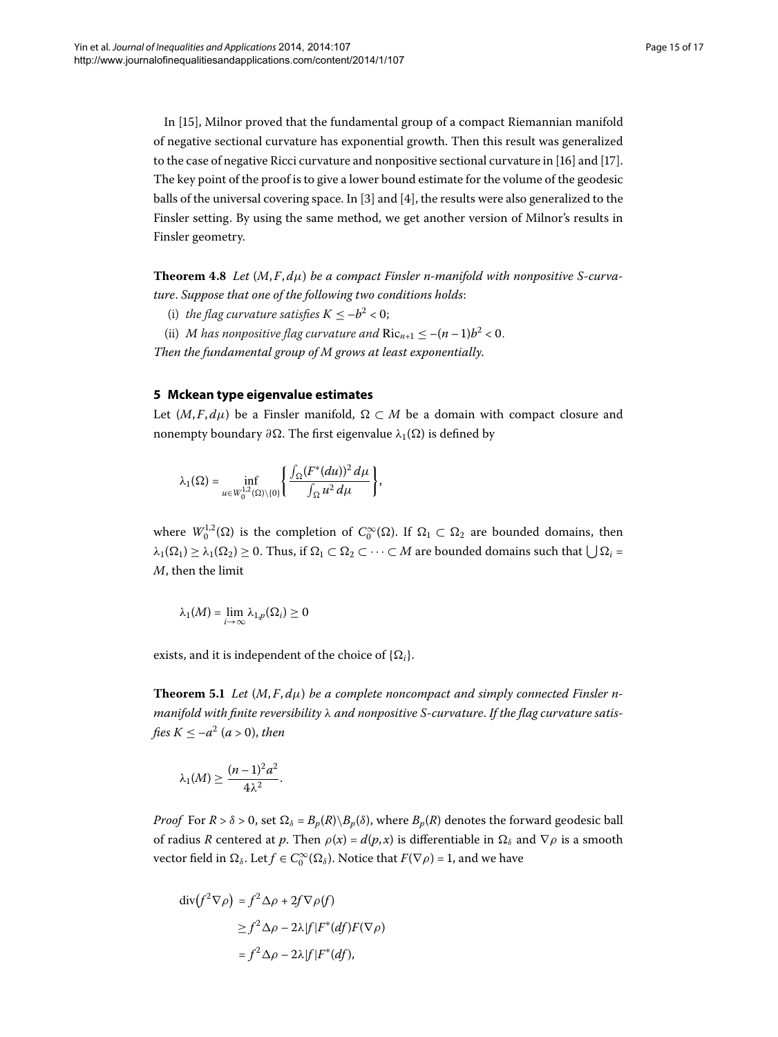In [[\]](#page-16-16), Milnor proved that the fundamental group of a compact Riemannian manifold of negative sectional curvature has exponential growth. Then this result was generalized to the case of negative Ricci curvature and nonpositive sectional curvature in  $[16]$  $[16]$  and  $[17]$ . The key point of the proof is to give a lower bound estimate for the volume of the geodesic balls of the universal covering space. In  $[3]$  $[3]$  and  $[4]$ , the results were also generalized to the Finsler setting. By using the same method, we get another version of Milnor's results in Finsler geometry.

<span id="page-14-0"></span>**Theorem 4.8** Let  $(M, F, d\mu)$  be a compact Finsler n-manifold with nonpositive S-curva*ture*. *Suppose that one of the following two conditions holds*:

- (i) *the flag curvature satisfies*  $K \le -b^2 < 0$ ;
- (ii) *M* has nonpositive flag curvature and  $Ric_{n+1} \leq -(n-1)b^2 < 0$ .

*Then the fundamental group of M grows at least exponentially*.

## **5 Mckean type eigenvalue estimates**

Let  $(M, F, d\mu)$  be a Finsler manifold,  $\Omega \subset M$  be a domain with compact closure and nonempty boundary  $\partial \Omega$ . The first eigenvalue  $\lambda_1(\Omega)$  is defined by

$$
\lambda_1(\Omega)=\inf_{u\in W_0^{1,2}(\Omega)\setminus\{0\}}\left\{\frac{\int_{\Omega}(F^*(du))^2\,d\mu}{\int_{\Omega}u^2\,d\mu}\right\},\,
$$

where  $W_0^{1,2}(\Omega)$  is the completion of  $C_0^{\infty}(\Omega)$ . If  $\Omega_1 \subset \Omega_2$  are bounded domains, then  $\lambda_1(\Omega_1) \geq \lambda_1(\Omega_2) \geq 0$ . Thus, if  $\Omega_1 \subset \Omega_2 \subset \cdots \subset M$  are bounded domains such that  $\bigcup \Omega_i =$ *M*, then the limit

$$
\lambda_1(M)=\lim_{i\to\infty}\lambda_{1,p}(\Omega_i)\geq 0
$$

exists, and it is independent of the choice of  $\{\Omega_i\}$ .

**Theorem 5.1** Let  $(M, F, d\mu)$  be a complete noncompact and simply connected Finsler n*manifold with finite reversibility λ and nonpositive S-curvature*. *If the flag curvature satisfies*  $K < -a^2$  (*a* > 0), *then* 

$$
\lambda_1(M) \geq \frac{(n-1)^2 a^2}{4\lambda^2}.
$$

*Proof* For  $R > \delta > 0$ , set  $\Omega_{\delta} = B_p(R) \setminus B_p(\delta)$ , where  $B_p(R)$  denotes the forward geodesic ball of radius *R* centered at *p*. Then  $\rho(x) = d(p, x)$  is differentiable in  $\Omega_{\delta}$  and  $\nabla \rho$  is a smooth vector field in  $\Omega_{\delta}$ . Let  $f \in C_0^{\infty}(\Omega_{\delta})$ . Notice that  $F(\nabla \rho) = 1$ , and we have

$$
\begin{aligned} \operatorname{div} \left( f^2 \nabla \rho \right) &= f^2 \Delta \rho + 2f \nabla \rho(f) \\ &\ge f^2 \Delta \rho - 2\lambda |f| F^* (df) F(\nabla \rho) \\ &= f^2 \Delta \rho - 2\lambda |f| F^* (df), \end{aligned}
$$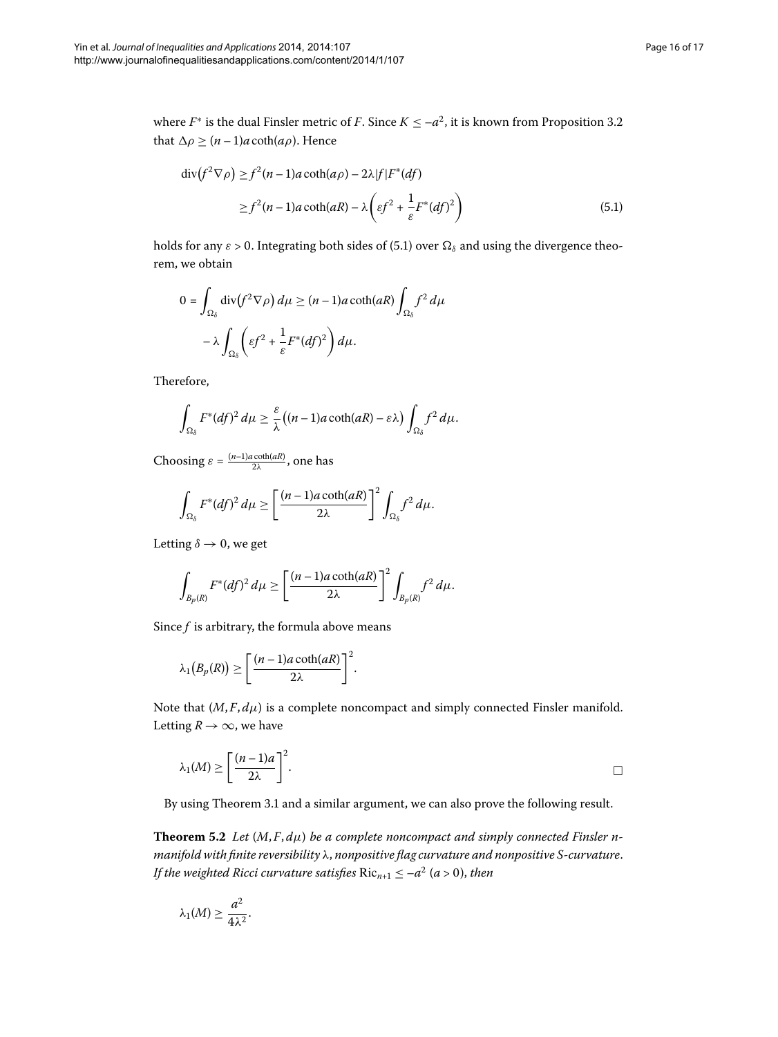where  $F^*$  is the dual Finsler metric of *F*[.](#page-7-4) Since  $K \le -a^2$ , it is known from Proposition 3.2 that  $\Delta \rho \geq (n-1)a \coth(a\rho)$ . Hence

<span id="page-15-0"></span>
$$
\operatorname{div}(f^2 \nabla \rho) \ge f^2(n-1)a \coth(a\rho) - 2\lambda |f| F^*(df)
$$
  
 
$$
\ge f^2(n-1)a \coth(aR) - \lambda \left( \varepsilon f^2 + \frac{1}{\varepsilon} F^*(df)^2 \right)
$$
 (5.1)

holds for any  $\varepsilon > 0$ . Integrating both sides of (5.1) over  $\Omega_{\delta}$  and using the divergence theorem, we obtain

$$
0 = \int_{\Omega_{\delta}} \operatorname{div} (f^2 \nabla \rho) d\mu \ge (n - 1)a \coth(aR) \int_{\Omega_{\delta}} f^2 d\mu
$$

$$
- \lambda \int_{\Omega_{\delta}} \left( \varepsilon f^2 + \frac{1}{\varepsilon} F^*(df)^2 \right) d\mu.
$$

Therefore,

$$
\int_{\Omega_{\delta}} F^*(df)^2 d\mu \geq \frac{\varepsilon}{\lambda} ((n-1)a \coth(aR) - \varepsilon \lambda) \int_{\Omega_{\delta}} f^2 d\mu.
$$

Choosing  $\varepsilon = \frac{(n-1)a \coth(aR)}{2\lambda}$ , one has

$$
\int_{\Omega_{\delta}} F^*(df)^2 d\mu \ge \left[ \frac{(n-1)a \coth(aR)}{2\lambda} \right]^2 \int_{\Omega_{\delta}} f^2 d\mu.
$$

Letting  $\delta \rightarrow 0$ , we get

$$
\int_{B_p(R)} F^*(df)^2 d\mu \ge \left[ \frac{(n-1)a \coth(aR)}{2\lambda} \right]^2 \int_{B_p(R)} f^2 d\mu.
$$

Since *f* is arbitrary, the formula above means

$$
\lambda_1(B_p(R)) \geq \left[\frac{(n-1)a\coth(aR)}{2\lambda}\right]^2.
$$

Note that  $(M, F, d\mu)$  is a complete noncompact and simply connected Finsler manifold. Letting  $R \to \infty$ , we have

$$
\lambda_1(M) \ge \left[\frac{(n-1)a}{2\lambda}\right]^2.
$$

By using Theorem 3[.](#page-6-5)1 and a similar argument, we can also prove the following result.

**Theorem 5.2** Let  $(M, F, d\mu)$  be a complete noncompact and simply connected Finsler n*manifold with finite reversibility λ*, *nonpositive flag curvature and nonpositive S-curvature*. *If the weighted Ricci curvature satisfies*  $Ric_{n+1} \leq -a^2$  (*a* > 0), *then* 

$$
\lambda_1(M) \geq \frac{a^2}{4\lambda^2}.
$$